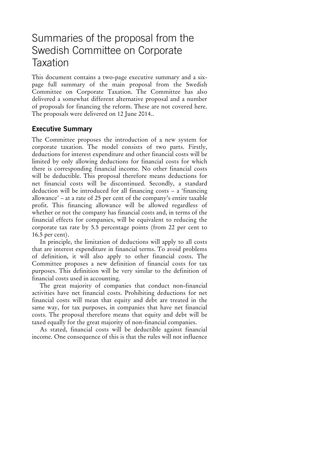# Summaries of the proposal from the Swedish Committee on Corporate **Taxation**

This document contains a two-page executive summary and a sixpage full summary of the main proposal from the Swedish Committee on Corporate Taxation. The Committee has also delivered a somewhat different alternative proposal and a number of proposals for financing the reform. These are not covered here. The proposals were delivered on 12 June 2014..

## **Executive Summary**

The Committee proposes the introduction of a new system for corporate taxation. The model consists of two parts. Firstly, deductions for interest expenditure and other financial costs will be limited by only allowing deductions for financial costs for which there is corresponding financial income. No other financial costs will be deductible. This proposal therefore means deductions for net financial costs will be discontinued. Secondly, a standard deduction will be introduced for all financing costs – a 'financing allowance' – at a rate of 25 per cent of the company's entire taxable profit. This financing allowance will be allowed regardless of whether or not the company has financial costs and, in terms of the financial effects for companies, will be equivalent to reducing the corporate tax rate by 5.5 percentage points (from 22 per cent to 16.5 per cent).

In principle, the limitation of deductions will apply to all costs that are interest expenditure in financial terms. To avoid problems of definition, it will also apply to other financial costs. The Committee proposes a new definition of financial costs for tax purposes. This definition will be very similar to the definition of financial costs used in accounting.

The great majority of companies that conduct non-financial activities have net financial costs. Prohibiting deductions for net financial costs will mean that equity and debt are treated in the same way, for tax purposes, in companies that have net financial costs. The proposal therefore means that equity and debt will be taxed equally for the great majority of non-financial companies.

As stated, financial costs will be deductible against financial income. One consequence of this is that the rules will not influence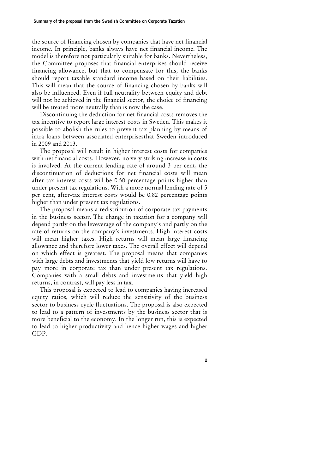the source of financing chosen by companies that have net financial income. In principle, banks always have net financial income. The model is therefore not particularly suitable for banks. Nevertheless, the Committee proposes that financial enterprises should receive financing allowance, but that to compensate for this, the banks should report taxable standard income based on their liabilities. This will mean that the source of financing chosen by banks will also be influenced. Even if full neutrality between equity and debt will not be achieved in the financial sector, the choice of financing will be treated more neutrally than is now the case.

Discontinuing the deduction for net financial costs removes the tax incentive to report large interest costs in Sweden. This makes it possible to abolish the rules to prevent tax planning by means of intra loans between associated enterprisesthat Sweden introduced in 2009 and 2013.

The proposal will result in higher interest costs for companies with net financial costs. However, no very striking increase in costs is involved. At the current lending rate of around 3 per cent, the discontinuation of deductions for net financial costs will mean after-tax interest costs will be 0.50 percentage points higher than under present tax regulations. With a more normal lending rate of 5 per cent, after-tax interest costs would be 0.82 percentage points higher than under present tax regulations.

The proposal means a redistribution of corporate tax payments in the business sector. The change in taxation for a company will depend partly on the leveverage of the company's and partly on the rate of returns on the company's investments. High interest costs will mean higher taxes. High returns will mean large financing allowance and therefore lower taxes. The overall effect will depend on which effect is greatest. The proposal means that companies with large debts and investments that yield low returns will have to pay more in corporate tax than under present tax regulations. Companies with a small debts and investments that yield high returns, in contrast, will pay less in tax.

This proposal is expected to lead to companies having increased equity ratios, which will reduce the sensitivity of the business sector to business cycle fluctuations. The proposal is also expected to lead to a pattern of investments by the business sector that is more beneficial to the economy. In the longer run, this is expected to lead to higher productivity and hence higher wages and higher GDP.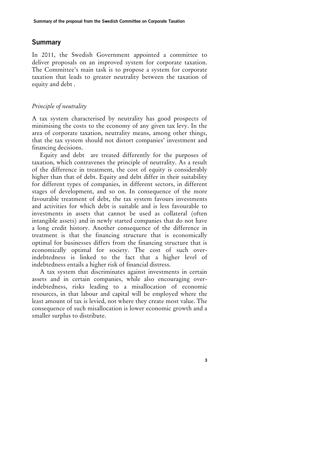### **Summary**

In 2011, the Swedish Government appointed a committee to deliver proposals on an improved system for corporate taxation. The Committee's main task is to propose a system for corporate taxation that leads to greater neutrality between the taxation of equity and debt .

#### *Principle of neutrality*

A tax system characterised by neutrality has good prospects of minimising the costs to the economy of any given tax levy. In the area of corporate taxation, neutrality means, among other things, that the tax system should not distort companies' investment and financing decisions.

Equity and debt are treated differently for the purposes of taxation, which contravenes the principle of neutrality. As a result of the difference in treatment, the cost of equity is considerably higher than that of debt. Equity and debt differ in their suitability for different types of companies, in different sectors, in different stages of development, and so on. In consequence of the more favourable treatment of debt, the tax system favours investments and activities for which debt is suitable and is less favourable to investments in assets that cannot be used as collateral (often intangible assets) and in newly started companies that do not have a long credit history. Another consequence of the difference in treatment is that the financing structure that is economically optimal for businesses differs from the financing structure that is economically optimal for society. The cost of such overindebtedness is linked to the fact that a higher level of indebtedness entails a higher risk of financial distress.

A tax system that discriminates against investments in certain assets and in certain companies, while also encouraging overindebtedness, risks leading to a misallocation of economic resources, in that labour and capital will be employed where the least amount of tax is levied, not where they create most value. The consequence of such misallocation is lower economic growth and a smaller surplus to distribute.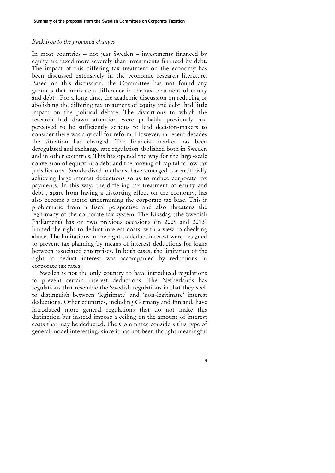#### *Backdrop to the proposed changes*

In most countries – not just Sweden – investments financed by equity are taxed more severely than investments financed by debt. The impact of this differing tax treatment on the economy has been discussed extensively in the economic research literature. Based on this discussion, the Committee has not found any grounds that motivate a difference in the tax treatment of equity and debt . For a long time, the academic discussion on reducing or abolishing the differing tax treatment of equity and debt had little impact on the political debate. The distortions to which the research had drawn attention were probably previously not perceived to be sufficiently serious to lead decision-makers to consider there was any call for reform. However, in recent decades the situation has changed. The financial market has been deregulated and exchange rate regulation abolished both in Sweden and in other countries. This has opened the way for the large-scale conversion of equity into debt and the moving of capital to low tax jurisdictions. Standardised methods have emerged for artificially achieving large interest deductions so as to reduce corporate tax payments. In this way, the differing tax treatment of equity and debt , apart from having a distorting effect on the economy, has also become a factor undermining the corporate tax base. This is problematic from a fiscal perspective and also threatens the legitimacy of the corporate tax system. The Riksdag (the Swedish Parliament) has on two previous occasions (in 2009 and 2013) limited the right to deduct interest costs, with a view to checking abuse. The limitations in the right to deduct interest were designed to prevent tax planning by means of interest deductions for loans between associated enterprises. In both cases, the limitation of the right to deduct interest was accompanied by reductions in corporate tax rates.

Sweden is not the only country to have introduced regulations to prevent certain interest deductions. The Netherlands has regulations that resemble the Swedish regulations in that they seek to distinguish between 'legitimate' and 'non-legitimate' interest deductions. Other countries, including Germany and Finland, have introduced more general regulations that do not make this distinction but instead impose a ceiling on the amount of interest costs that may be deducted. The Committee considers this type of general model interesting, since it has not been thought meaningful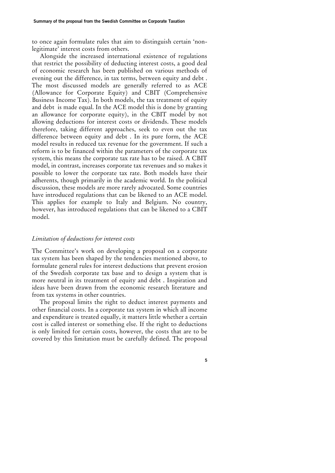to once again formulate rules that aim to distinguish certain 'nonlegitimate' interest costs from others.

Alongside the increased international existence of regulations that restrict the possibility of deducting interest costs, a good deal of economic research has been published on various methods of evening out the difference, in tax terms, between equity and debt . The most discussed models are generally referred to as ACE (Allowance for Corporate Equity) and CBIT (Comprehensive Business Income Tax). In both models, the tax treatment of equity and debt is made equal. In the ACE model this is done by granting an allowance for corporate equity), in the CBIT model by not allowing deductions for interest costs or dividends. These models therefore, taking different approaches, seek to even out the tax difference between equity and debt . In its pure form, the ACE model results in reduced tax revenue for the government. If such a reform is to be financed within the parameters of the corporate tax system, this means the corporate tax rate has to be raised. A CBIT model, in contrast, increases corporate tax revenues and so makes it possible to lower the corporate tax rate. Both models have their adherents, though primarily in the academic world. In the political discussion, these models are more rarely advocated. Some countries have introduced regulations that can be likened to an ACE model. This applies for example to Italy and Belgium. No country, however, has introduced regulations that can be likened to a CBIT model.

#### *Limitation of deductions for interest costs*

The Committee's work on developing a proposal on a corporate tax system has been shaped by the tendencies mentioned above, to formulate general rules for interest deductions that prevent erosion of the Swedish corporate tax base and to design a system that is more neutral in its treatment of equity and debt . Inspiration and ideas have been drawn from the economic research literature and from tax systems in other countries.

The proposal limits the right to deduct interest payments and other financial costs. In a corporate tax system in which all income and expenditure is treated equally, it matters little whether a certain cost is called interest or something else. If the right to deductions is only limited for certain costs, however, the costs that are to be covered by this limitation must be carefully defined. The proposal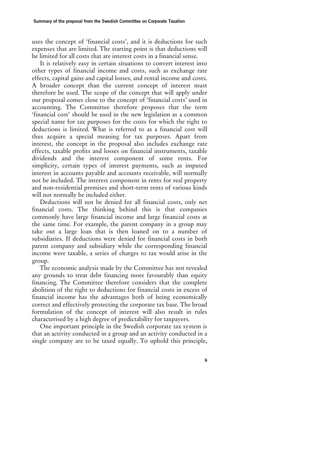uses the concept of 'financial costs', and it is deductions for such expenses that are limited. The starting point is that deductions will be limited for all costs that are interest costs in a financial sense.

It is relatively easy in certain situations to convert interest into other types of financial income and costs, such as exchange rate effects, capital gains and capital losses, and rental income and costs. A broader concept than the current concept of interest must therefore be used. The scope of the concept that will apply under our proposal comes close to the concept of 'financial costs' used in accounting. The Committee therefore proposes that the term 'financial cost' should be used in the new legislation as a common special name for tax purposes for the costs for which the right to deductions is limited. What is referred to as a financial cost will thus acquire a special meaning for tax purposes. Apart from interest, the concept in the proposal also includes exchange rate effects, taxable profits and losses on financial instruments, taxable dividends and the interest component of some rents. For simplicity, certain types of interest payments, such as imputed interest in accounts payable and accounts receivable, will normally not be included. The interest component in rents for real property and non-residential premises and short-term rents of various kinds will not normally be included either.

Deductions will not be denied for all financial costs, only net financial costs. The thinking behind this is that companies commonly have large financial income and large financial costs at the same time. For example, the parent company in a group may take out a large loan that is then loaned on to a number of subsidiaries. If deductions were denied for financial costs in both parent company and subsidiary while the corresponding financial income were taxable, a series of charges to tax would arise in the group.

The economic analysis made by the Committee has not revealed any grounds to treat debt financing more favourably than equity financing. The Committee therefore considers that the complete abolition of the right to deductions for financial costs in excess of financial income has the advantages both of being economically correct and effectively protecting the corporate tax base. The broad formulation of the concept of interest will also result in rules characterised by a high degree of predictability for taxpayers.

One important principle in the Swedish corporate tax system is that an activity conducted in a group and an activity conducted in a single company are to be taxed equally. To uphold this principle,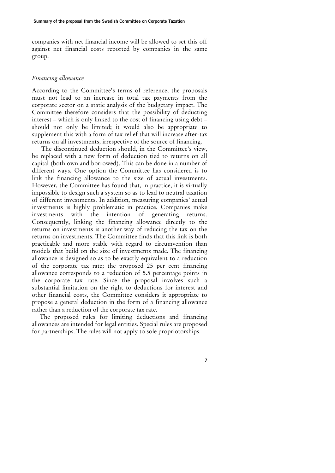companies with net financial income will be allowed to set this off against net financial costs reported by companies in the same group.

#### *Financing allowance*

According to the Committee's terms of reference, the proposals must not lead to an increase in total tax payments from the corporate sector on a static analysis of the budgetary impact. The Committee therefore considers that the possibility of deducting interest – which is only linked to the cost of financing using debt – should not only be limited; it would also be appropriate to supplement this with a form of tax relief that will increase after-tax returns on all investments, irrespective of the source of financing.

The discontinued deduction should, in the Committee's view, be replaced with a new form of deduction tied to returns on all capital (both own and borrowed). This can be done in a number of different ways. One option the Committee has considered is to link the financing allowance to the size of actual investments. However, the Committee has found that, in practice, it is virtually impossible to design such a system so as to lead to neutral taxation of different investments. In addition, measuring companies' actual investments is highly problematic in practice. Companies make investments with the intention of generating returns. Consequently, linking the financing allowance directly to the returns on investments is another way of reducing the tax on the returns on investments. The Committee finds that this link is both practicable and more stable with regard to circumvention than models that build on the size of investments made. The financing allowance is designed so as to be exactly equivalent to a reduction of the corporate tax rate; the proposed 25 per cent financing allowance corresponds to a reduction of 5.5 percentage points in the corporate tax rate. Since the proposal involves such a substantial limitation on the right to deductions for interest and other financial costs, the Committee considers it appropriate to propose a general deduction in the form of a financing allowance rather than a reduction of the corporate tax rate.

The proposed rules for limiting deductions and financing allowances are intended for legal entities. Special rules are proposed for partnerships. The rules will not apply to sole propriotorships.